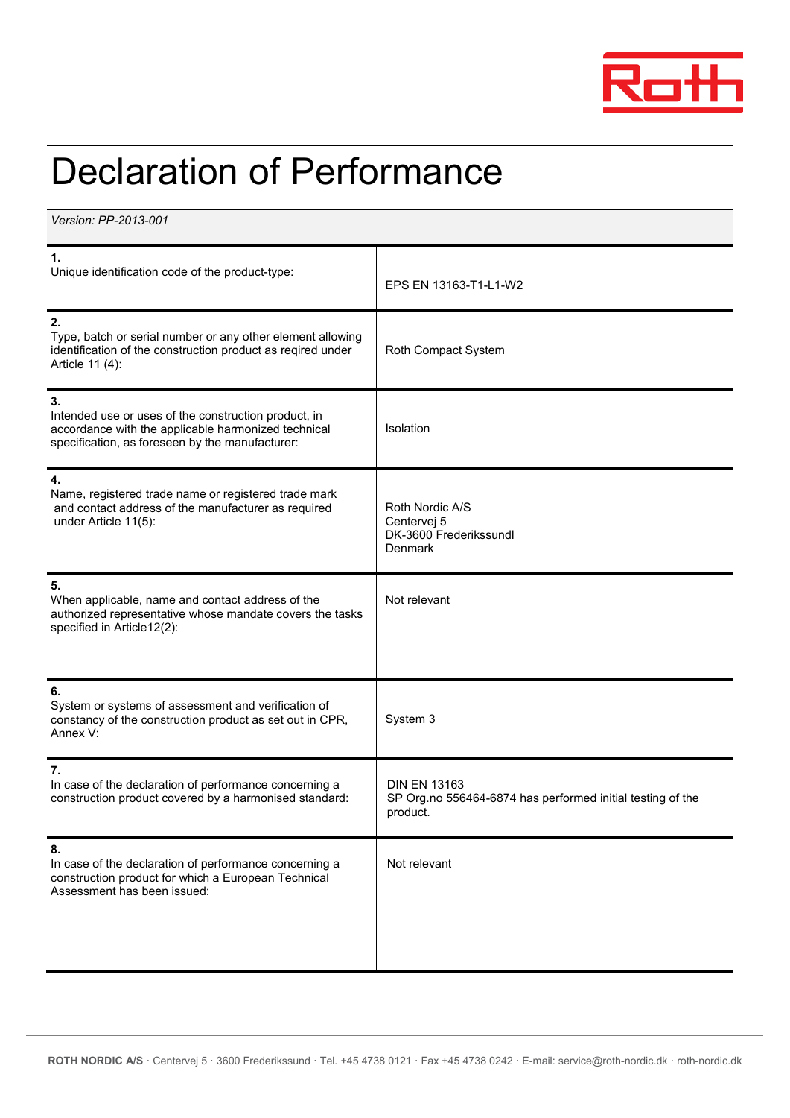

## Declaration of Performance

*Version: PP-2013-001*

| $\mathbf 1$<br>Unique identification code of the product-type:                                                                                                       | EPS EN 13163-T1-L1-W2                                                                         |  |
|----------------------------------------------------------------------------------------------------------------------------------------------------------------------|-----------------------------------------------------------------------------------------------|--|
| 2.<br>Type, batch or serial number or any other element allowing<br>identification of the construction product as reqired under<br>Article 11 (4):                   | Roth Compact System                                                                           |  |
| 3.<br>Intended use or uses of the construction product, in<br>accordance with the applicable harmonized technical<br>specification, as foreseen by the manufacturer: | Isolation                                                                                     |  |
| 4.<br>Name, registered trade name or registered trade mark<br>and contact address of the manufacturer as required<br>under Article 11(5):                            | Roth Nordic A/S<br>Centervej 5<br>DK-3600 Frederikssundl<br>Denmark                           |  |
| 5.<br>When applicable, name and contact address of the<br>authorized representative whose mandate covers the tasks<br>specified in Article12(2):                     | Not relevant                                                                                  |  |
| 6.<br>System or systems of assessment and verification of<br>constancy of the construction product as set out in CPR,<br>Annex V:                                    | System 3                                                                                      |  |
| 7.<br>In case of the declaration of performance concerning a<br>construction product covered by a harmonised standard:                                               | <b>DIN EN 13163</b><br>SP Org.no 556464-6874 has performed initial testing of the<br>product. |  |
| 8.<br>In case of the declaration of performance concerning a<br>construction product for which a European Technical<br>Assessment has been issued:                   | Not relevant                                                                                  |  |
|                                                                                                                                                                      |                                                                                               |  |